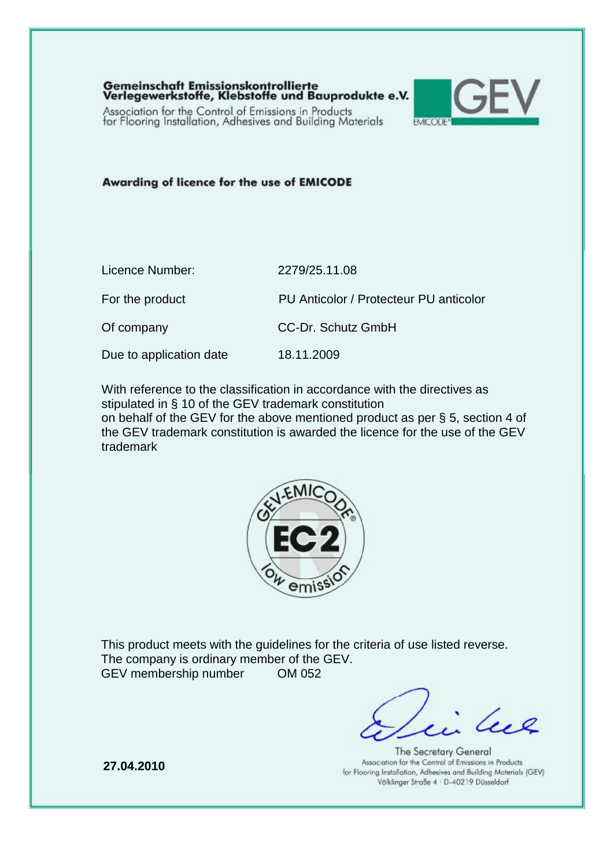Gemeinschaft Emissionskontrollierte<br>Verlegewerkstoffe, Klebstoffe und Bauprodukte e.V.

Association for the Control of Emissions in Products<br>for Flooring Installation, Adhesives and Building Materials



Awarding of licence for the use of EMICODE

| Licence Number:         | 2279/25.11.08                          |
|-------------------------|----------------------------------------|
| For the product         | PU Anticolor / Protecteur PU anticolor |
| Of company              | <b>CC-Dr. Schutz GmbH</b>              |
| Due to application date | 18.11.2009                             |

With reference to the classification in accordance with the directives as stipulated in § 10 of the GEV trademark constitution

on behalf of the GEV for the above mentioned product as per § 5, section 4 of the GEV trademark constitution is awarded the licence for the use of the GEV trademark



This product meets with the guidelines for the criteria of use listed reverse. The company is ordinary member of the GEV. GEV membership number OM 052

les

The Secretary General Association for the Control of Emissions in Products for Flooring Installation, Adhesives and Building Materials (GEV) Völklinger Straße 4 · D-40219 Düsseldorf

**27.04.2010**